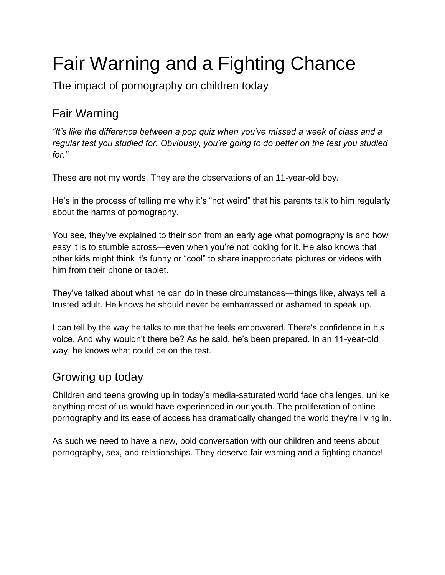# Fair Warning and a Fighting Chance

The impact of pornography on children today

## Fair Warning

*"It's like the difference between a pop quiz when you've missed a week of class and a regular test you studied for. Obviously, you're going to do better on the test you studied for."* 

These are not my words. They are the observations of an 11-year-old boy.

He's in the process of telling me why it's "not weird" that his parents talk to him regularly about the harms of pornography.

You see, they've explained to their son from an early age what pornography is and how easy it is to stumble across—even when you're not looking for it. He also knows that other kids might think it's funny or "cool" to share inappropriate pictures or videos with him from their phone or tablet.

They've talked about what he can do in these circumstances—things like, always tell a trusted adult. He knows he should never be embarrassed or ashamed to speak up.

I can tell by the way he talks to me that he feels empowered. There's confidence in his voice. And why wouldn't there be? As he said, he's been prepared. In an 11-year-old way, he knows what could be on the test.

#### Growing up today

Children and teens growing up in today's media-saturated world face challenges, unlike anything most of us would have experienced in our youth. The proliferation of online pornography and its ease of access has dramatically changed the world they're living in.

As such we need to have a new, bold conversation with our children and teens about pornography, sex, and relationships. They deserve fair warning and a fighting chance!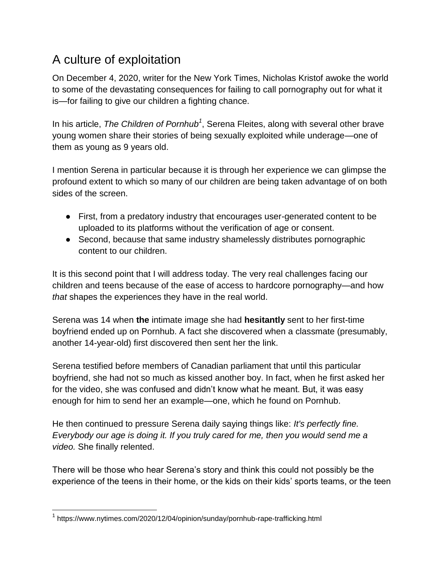## A culture of exploitation

On December 4, 2020, writer for the New York Times, Nicholas Kristof awoke the world to some of the devastating consequences for failing to call pornography out for what it is—for failing to give our children a fighting chance.

In his article, *The Children of Pornhub<sup>1</sup>* , Serena Fleites, along with several other brave young women share their stories of being sexually exploited while underage—one of them as young as 9 years old.

I mention Serena in particular because it is through her experience we can glimpse the profound extent to which so many of our children are being taken advantage of on both sides of the screen.

- First, from a predatory industry that encourages user-generated content to be uploaded to its platforms without the verification of age or consent.
- Second, because that same industry shamelessly distributes pornographic content to our children.

It is this second point that I will address today. The very real challenges facing our children and teens because of the ease of access to hardcore pornography—and how *that* shapes the experiences they have in the real world.

Serena was 14 when **the** intimate image she had **hesitantly** sent to her first-time boyfriend ended up on Pornhub. A fact she discovered when a classmate (presumably, another 14-year-old) first discovered then sent her the link.

Serena testified before members of Canadian parliament that until this particular boyfriend, she had not so much as kissed another boy. In fact, when he first asked her for the video, she was confused and didn't know what he meant. But, it was easy enough for him to send her an example—one, which he found on Pornhub.

He then continued to pressure Serena daily saying things like: *It's perfectly fine. Everybody our age is doing it. If you truly cared for me, then you would send me a video.* She finally relented.

There will be those who hear Serena's story and think this could not possibly be the experience of the teens in their home, or the kids on their kids' sports teams, or the teen

<sup>&</sup>lt;sup>1</sup> https://www.nytimes.com/2020/12/04/opinion/sunday/pornhub-rape-trafficking.html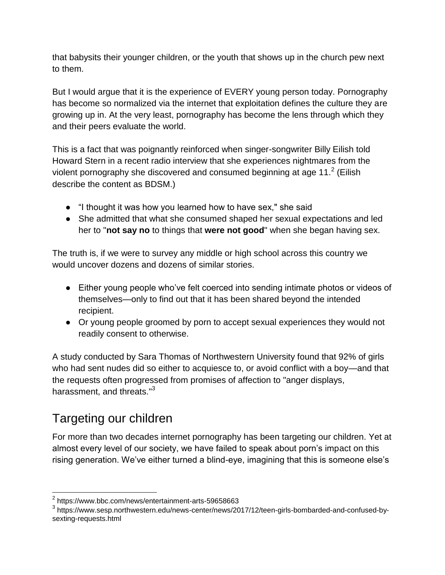that babysits their younger children, or the youth that shows up in the church pew next to them.

But I would argue that it is the experience of EVERY young person today. Pornography has become so normalized via the internet that exploitation defines the culture they are growing up in. At the very least, pornography has become the lens through which they and their peers evaluate the world.

This is a fact that was poignantly reinforced when singer-songwriter Billy Eilish told Howard Stern in a recent radio interview that she experiences nightmares from the violent pornography she discovered and consumed beginning at age 11.<sup>2</sup> (Eilish describe the content as BDSM.)

- "I thought it was how you learned how to have sex," she said
- She admitted that what she consumed shaped her sexual expectations and led her to "**not say no** to things that **were not good**" when she began having sex.

The truth is, if we were to survey any middle or high school across this country we would uncover dozens and dozens of similar stories.

- Either young people who've felt coerced into sending intimate photos or videos of themselves—only to find out that it has been shared beyond the intended recipient.
- Or young people groomed by porn to accept sexual experiences they would not readily consent to otherwise.

A study conducted by Sara Thomas of Northwestern University found that 92% of girls who had sent nudes did so either to acquiesce to, or avoid conflict with a boy—and that the requests often progressed from promises of affection to "anger displays, harassment, and threats."<sup>3</sup>

#### Targeting our children

 $\overline{a}$ 

For more than two decades internet pornography has been targeting our children. Yet at almost every level of our society, we have failed to speak about porn's impact on this rising generation. We've either turned a blind-eye, imagining that this is someone else's

<sup>&</sup>lt;sup>2</sup> https://www.bbc.com/news/entertainment-arts-59658663

<sup>&</sup>lt;sup>3</sup> https://www.sesp.northwestern.edu/news-center/news/2017/12/teen-girls-bombarded-and-confused-bysexting-requests.html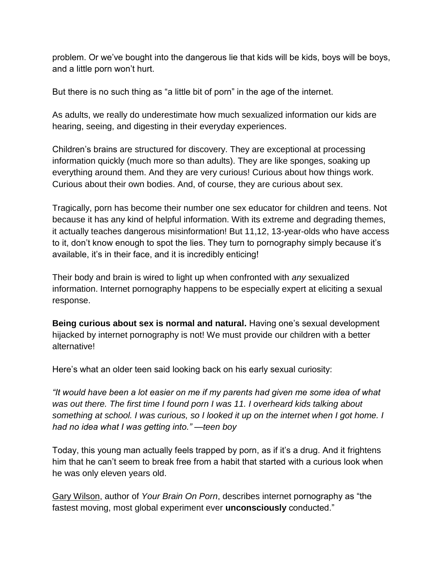problem. Or we've bought into the dangerous lie that kids will be kids, boys will be boys, and a little porn won't hurt.

But there is no such thing as "a little bit of porn" in the age of the internet.

As adults, we really do underestimate how much sexualized information our kids are hearing, seeing, and digesting in their everyday experiences.

Children's brains are structured for discovery. They are exceptional at processing information quickly (much more so than adults). They are like sponges, soaking up everything around them. And they are very curious! Curious about how things work. Curious about their own bodies. And, of course, they are curious about sex.

Tragically, porn has become their number one sex educator for children and teens. Not because it has any kind of helpful information. With its extreme and degrading themes, it actually teaches dangerous misinformation! But 11,12, 13-year-olds who have access to it, don't know enough to spot the lies. They turn to pornography simply because it's available, it's in their face, and it is incredibly enticing!

Their body and brain is wired to light up when confronted with *any* sexualized information. Internet pornography happens to be especially expert at eliciting a sexual response.

**Being curious about sex is normal and natural.** Having one's sexual development hijacked by internet pornography is not! We must provide our children with a better alternative!

Here's what an older teen said looking back on his early sexual curiosity:

*"It would have been a lot easier on me if my parents had given me some idea of what was out there. The first time I found porn I was 11. I overheard kids talking about something at school. I was curious, so I looked it up on the internet when I got home. I had no idea what I was getting into." —teen boy*

Today, this young man actually feels trapped by porn, as if it's a drug. And it frightens him that he can't seem to break free from a habit that started with a curious look when he was only eleven years old.

[Gary Wilson,](https://twitter.com/yourbrainonporn?lang=en) author of *Your Brain On Porn*, describes internet pornography as "the fastest moving, most global experiment ever **unconsciously** conducted."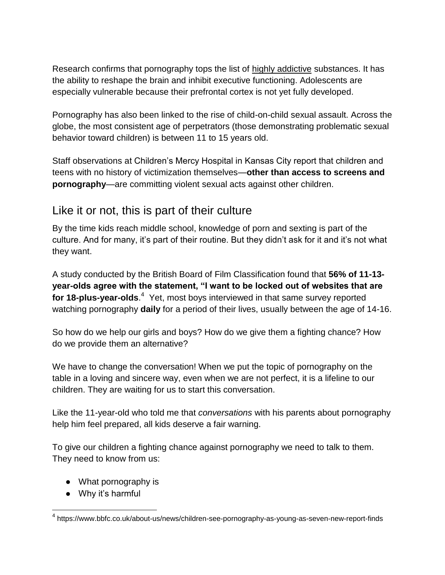Research confirms that pornography tops the list of [highly addictive](http://fightthenewdrug.org/how-porn-can-become-addictive/) substances. It has the ability to reshape the brain and inhibit executive functioning. Adolescents are especially vulnerable because their prefrontal cortex is not yet fully developed.

Pornography has also been linked to the rise of child-on-child sexual assault. Across the globe, the most consistent age of perpetrators (those demonstrating problematic sexual behavior toward children) is between 11 to 15 years old.

Staff observations at Children's Mercy Hospital in Kansas City report that children and teens with no history of victimization themselves—**other than access to screens and pornography**—are committing violent sexual acts against other children.

#### Like it or not, this is part of their culture

By the time kids reach middle school, knowledge of porn and sexting is part of the culture. And for many, it's part of their routine. But they didn't ask for it and it's not what they want.

A study conducted by the British Board of Film Classification found that **56% of 11-13 year-olds agree with the statement, "I want to be locked out of websites that are for 18-plus-year-olds**.<sup>4</sup> Yet, most boys interviewed in that same survey reported watching pornography **daily** for a period of their lives, usually between the age of 14-16.

So how do we help our girls and boys? How do we give them a fighting chance? How do we provide them an alternative?

We have to change the conversation! When we put the topic of pornography on the table in a loving and sincere way, even when we are not perfect, it is a lifeline to our children. They are waiting for us to start this conversation.

Like the 11-year-old who told me that *conversations* with his parents about pornography help him feel prepared, all kids deserve a fair warning.

To give our children a fighting chance against pornography we need to talk to them. They need to know from us:

- What pornography is
- Why it's harmful

<sup>&</sup>lt;sup>4</sup> https://www.bbfc.co.uk/about-us/news/children-see-pornography-as-young-as-seven-new-report-finds